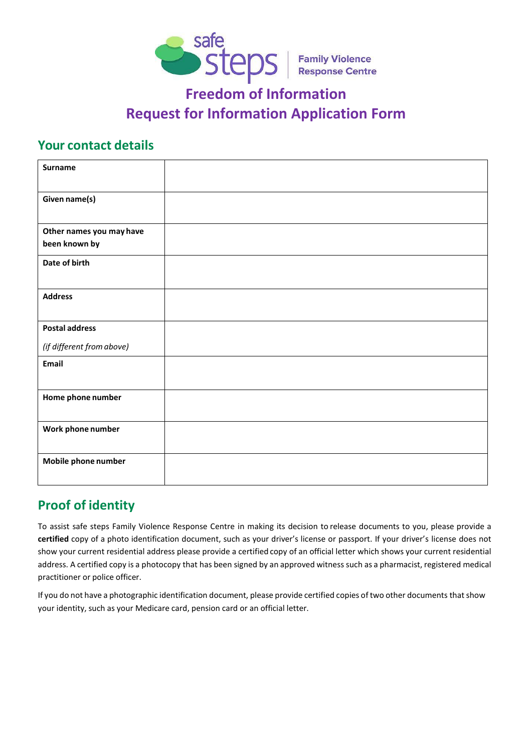

# **Freedom of Information Request for Information Application Form**

### **Your contact details**

| <b>Surname</b>                            |  |
|-------------------------------------------|--|
| Given name(s)                             |  |
| Other names you may have<br>been known by |  |
| Date of birth                             |  |
| <b>Address</b>                            |  |
| <b>Postal address</b>                     |  |
| (if different from above)                 |  |
| Email                                     |  |
| Home phone number                         |  |
| Work phone number                         |  |
| Mobile phone number                       |  |

## **Proof of identity**

To assist safe steps Family Violence Response Centre in making its decision to release documents to you, please provide a **certified** copy of a photo identification document, such as your driver's license or passport. If your driver's license does not show your current residential address please provide a certified copy of an official letter which shows your current residential address. A certified copy is a photocopy that has been signed by an approved witness such as a pharmacist, registered medical practitioner or police officer.

If you do not have a photographic identification document, please provide certified copies of two other documents thatshow your identity, such as your Medicare card, pension card or an official letter.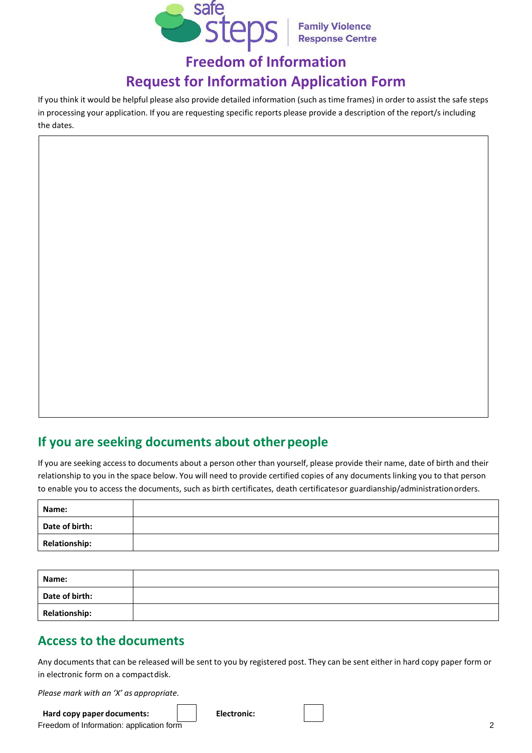

## **Freedom of Information Request for Information Application Form**

If you think it would be helpful please also provide detailed information (such as time frames) in order to assist the safe steps in processing your application. If you are requesting specific reports please provide a description of the report/s including the dates.

### **If you are seeking documents about otherpeople**

If you are seeking access to documents about a person other than yourself, please provide their name, date of birth and their relationship to you in the space below. You will need to provide certified copies of any documents linking you to that person to enable you to access the documents, such as birth certificates, death certificatesor guardianship/administrationorders.

| Name:                |  |
|----------------------|--|
| Date of birth:       |  |
| <b>Relationship:</b> |  |

| Name:                |  |
|----------------------|--|
| Date of birth:       |  |
| <b>Relationship:</b> |  |

### **Access to the documents**

Any documents that can be released will be sent to you by registered post. They can be sent either in hard copy paper form or in electronic form on a compactdisk.

*Please mark with an 'X' as appropriate.*

### **Hard copy paper documents:**

Freedom of Information: application form 2

| <b>Electronic:</b> |  |
|--------------------|--|
|                    |  |